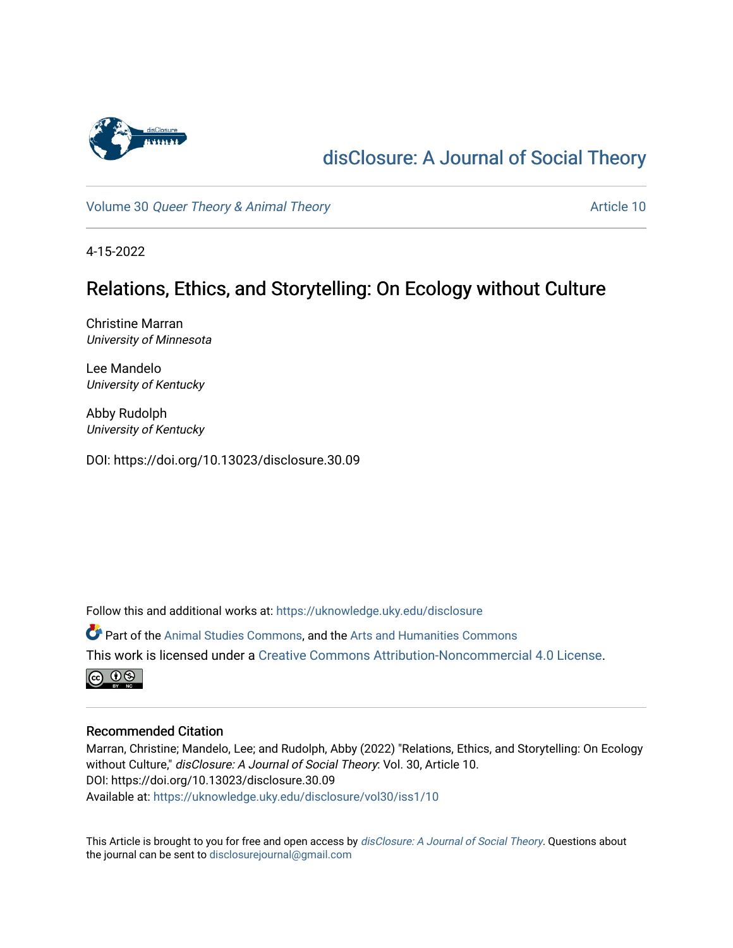

# [disClosure: A Journal of Social Theory](https://uknowledge.uky.edu/disclosure)

Volume 30 [Queer Theory & Animal Theory](https://uknowledge.uky.edu/disclosure/vol30) Article 10

4-15-2022

## Relations, Ethics, and Storytelling: On Ecology without Culture

Christine Marran University of Minnesota

Lee Mandelo University of Kentucky

Abby Rudolph University of Kentucky

DOI: https://doi.org/10.13023/disclosure.30.09

Follow this and additional works at: [https://uknowledge.uky.edu/disclosure](https://uknowledge.uky.edu/disclosure?utm_source=uknowledge.uky.edu%2Fdisclosure%2Fvol30%2Fiss1%2F10&utm_medium=PDF&utm_campaign=PDFCoverPages)

Part of the [Animal Studies Commons,](http://network.bepress.com/hgg/discipline/1306?utm_source=uknowledge.uky.edu%2Fdisclosure%2Fvol30%2Fiss1%2F10&utm_medium=PDF&utm_campaign=PDFCoverPages) and the [Arts and Humanities Commons](http://network.bepress.com/hgg/discipline/438?utm_source=uknowledge.uky.edu%2Fdisclosure%2Fvol30%2Fiss1%2F10&utm_medium=PDF&utm_campaign=PDFCoverPages) This work is licensed under a [Creative Commons Attribution-Noncommercial 4.0 License](https://creativecommons.org/licenses/by-nc/4.0/).



#### Recommended Citation

Marran, Christine; Mandelo, Lee; and Rudolph, Abby (2022) "Relations, Ethics, and Storytelling: On Ecology without Culture," disClosure: A Journal of Social Theory: Vol. 30, Article 10. DOI: https://doi.org/10.13023/disclosure.30.09 Available at: [https://uknowledge.uky.edu/disclosure/vol30/iss1/10](https://uknowledge.uky.edu/disclosure/vol30/iss1/10?utm_source=uknowledge.uky.edu%2Fdisclosure%2Fvol30%2Fiss1%2F10&utm_medium=PDF&utm_campaign=PDFCoverPages) 

This Article is brought to you for free and open access by [disClosure: A Journal of Social Theory](https://uknowledge.uky.edu/disclosure). Questions about the journal can be sent to [disclosurejournal@gmail.com](mailto:disclosurejournal@gmail.com)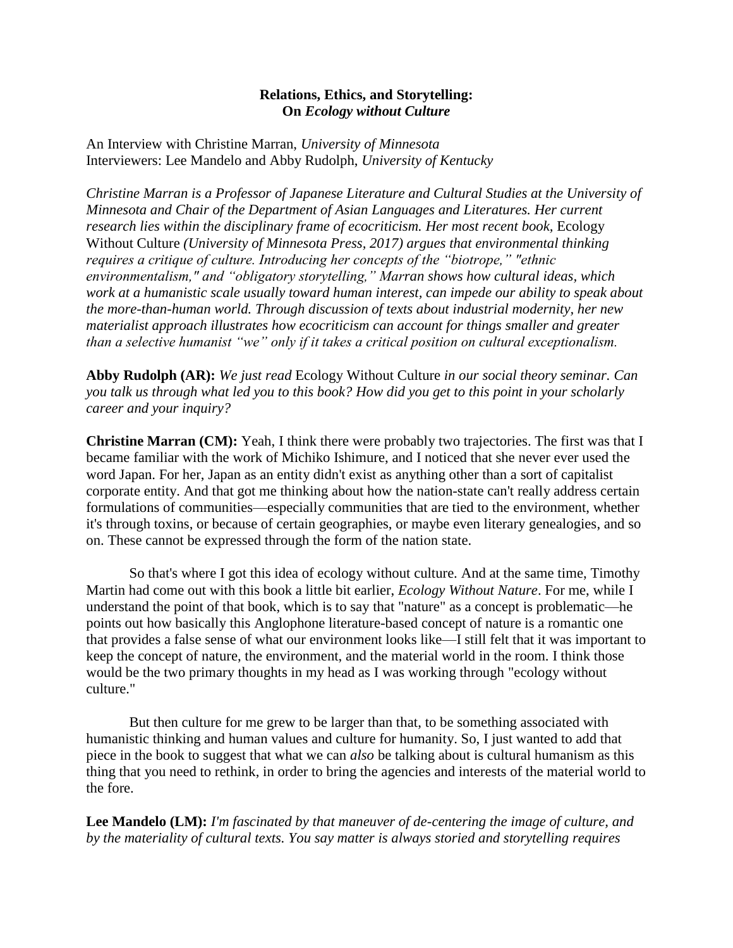#### **Relations, Ethics, and Storytelling: On** *Ecology without Culture*

An Interview with Christine Marran, *University of Minnesota* Interviewers: Lee Mandelo and Abby Rudolph, *University of Kentucky*

*Christine Marran is a Professor of Japanese Literature and Cultural Studies at the University of Minnesota and Chair of the Department of Asian Languages and Literatures. Her current research lies within the disciplinary frame of ecocriticism. Her most recent book,* Ecology Without Culture *(University of Minnesota Press, 2017) argues that environmental thinking requires a critique of culture. Introducing her concepts of the "biotrope," "ethnic environmentalism," and "obligatory storytelling," Marran shows how cultural ideas, which work at a humanistic scale usually toward human interest, can impede our ability to speak about the more-than-human world. Through discussion of texts about industrial modernity, her new materialist approach illustrates how ecocriticism can account for things smaller and greater than a selective humanist "we" only if it takes a critical position on cultural exceptionalism.*

**Abby Rudolph (AR):** *We just read* Ecology Without Culture *in our social theory seminar. Can you talk us through what led you to this book? How did you get to this point in your scholarly career and your inquiry?*

**Christine Marran (CM):** Yeah, I think there were probably two trajectories. The first was that I became familiar with the work of Michiko Ishimure, and I noticed that she never ever used the word Japan. For her, Japan as an entity didn't exist as anything other than a sort of capitalist corporate entity. And that got me thinking about how the nation-state can't really address certain formulations of communities—especially communities that are tied to the environment, whether it's through toxins, or because of certain geographies, or maybe even literary genealogies, and so on. These cannot be expressed through the form of the nation state.

So that's where I got this idea of ecology without culture. And at the same time, Timothy Martin had come out with this book a little bit earlier, *Ecology Without Nature*. For me, while I understand the point of that book, which is to say that "nature" as a concept is problematic—he points out how basically this Anglophone literature-based concept of nature is a romantic one that provides a false sense of what our environment looks like—I still felt that it was important to keep the concept of nature, the environment, and the material world in the room. I think those would be the two primary thoughts in my head as I was working through "ecology without culture."

But then culture for me grew to be larger than that, to be something associated with humanistic thinking and human values and culture for humanity. So, I just wanted to add that piece in the book to suggest that what we can *also* be talking about is cultural humanism as this thing that you need to rethink, in order to bring the agencies and interests of the material world to the fore.

**Lee Mandelo (LM):** *I'm fascinated by that maneuver of de-centering the image of culture, and by the materiality of cultural texts. You say matter is always storied and storytelling requires*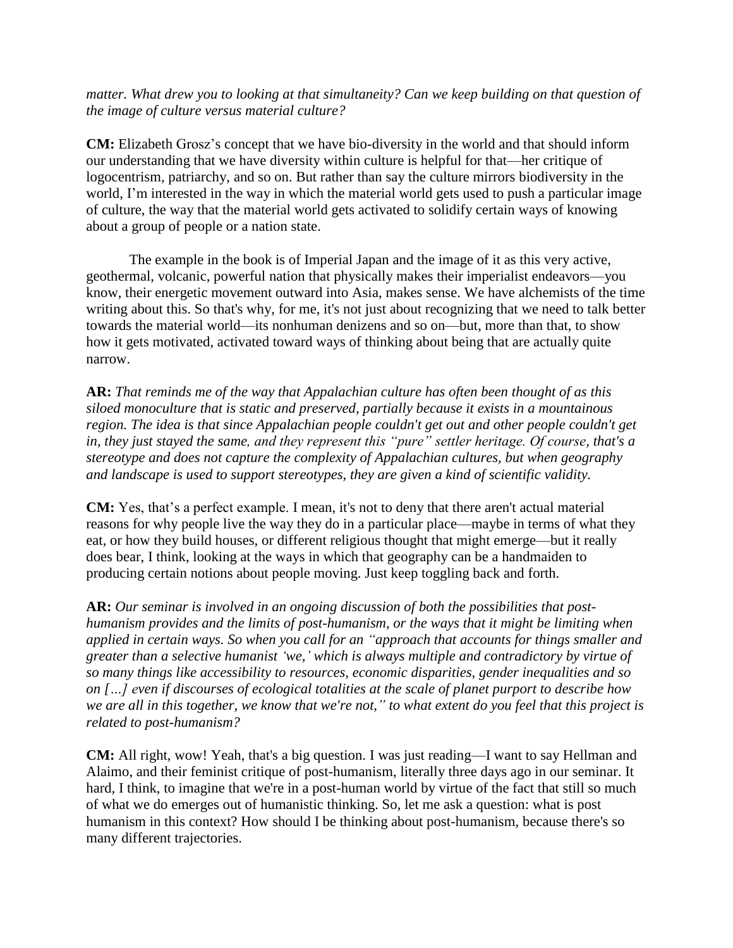*matter. What drew you to looking at that simultaneity? Can we keep building on that question of the image of culture versus material culture?*

**CM:** Elizabeth Grosz's concept that we have bio-diversity in the world and that should inform our understanding that we have diversity within culture is helpful for that—her critique of logocentrism, patriarchy, and so on. But rather than say the culture mirrors biodiversity in the world, I'm interested in the way in which the material world gets used to push a particular image of culture, the way that the material world gets activated to solidify certain ways of knowing about a group of people or a nation state.

The example in the book is of Imperial Japan and the image of it as this very active, geothermal, volcanic, powerful nation that physically makes their imperialist endeavors—you know, their energetic movement outward into Asia, makes sense. We have alchemists of the time writing about this. So that's why, for me, it's not just about recognizing that we need to talk better towards the material world—its nonhuman denizens and so on—but, more than that, to show how it gets motivated, activated toward ways of thinking about being that are actually quite narrow.

**AR:** *That reminds me of the way that Appalachian culture has often been thought of as this siloed monoculture that is static and preserved, partially because it exists in a mountainous region. The idea is that since Appalachian people couldn't get out and other people couldn't get in, they just stayed the same, and they represent this "pure" settler heritage. Of course, that's a stereotype and does not capture the complexity of Appalachian cultures, but when geography and landscape is used to support stereotypes, they are given a kind of scientific validity.*

**CM:** Yes, that's a perfect example. I mean, it's not to deny that there aren't actual material reasons for why people live the way they do in a particular place—maybe in terms of what they eat, or how they build houses, or different religious thought that might emerge—but it really does bear, I think, looking at the ways in which that geography can be a handmaiden to producing certain notions about people moving. Just keep toggling back and forth.

**AR:** *Our seminar is involved in an ongoing discussion of both the possibilities that posthumanism provides and the limits of post-humanism, or the ways that it might be limiting when applied in certain ways. So when you call for an "approach that accounts for things smaller and greater than a selective humanist 'we,' which is always multiple and contradictory by virtue of so many things like accessibility to resources, economic disparities, gender inequalities and so on […] even if discourses of ecological totalities at the scale of planet purport to describe how we are all in this together, we know that we're not," to what extent do you feel that this project is related to post-humanism?*

**CM:** All right, wow! Yeah, that's a big question. I was just reading—I want to say Hellman and Alaimo, and their feminist critique of post-humanism, literally three days ago in our seminar. It hard, I think, to imagine that we're in a post-human world by virtue of the fact that still so much of what we do emerges out of humanistic thinking. So, let me ask a question: what is post humanism in this context? How should I be thinking about post-humanism, because there's so many different trajectories.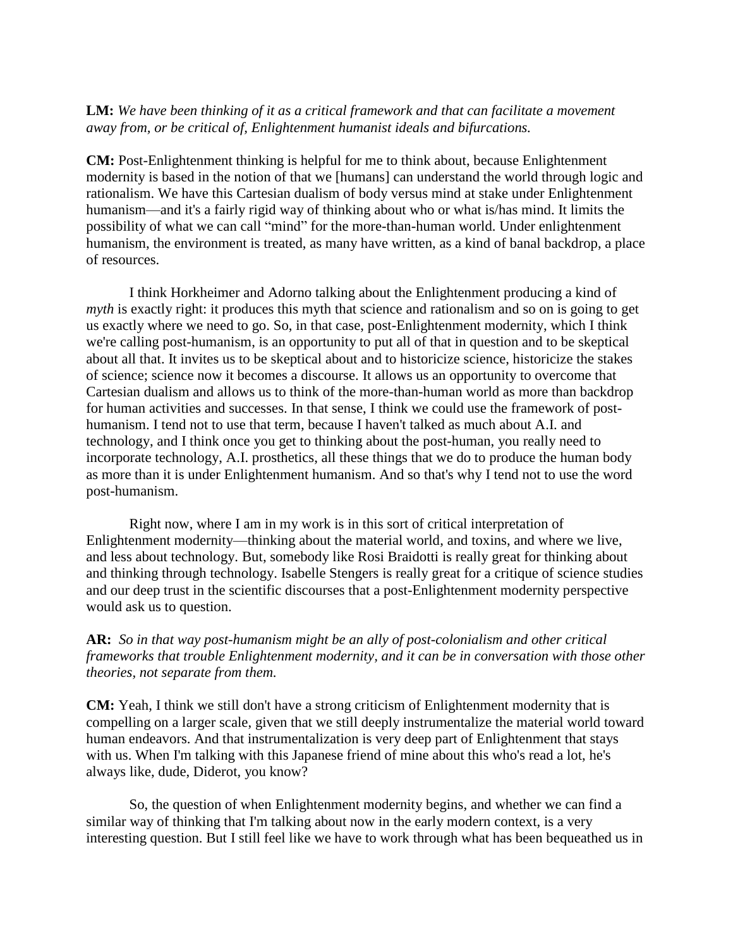### **LM:** *We have been thinking of it as a critical framework and that can facilitate a movement away from, or be critical of, Enlightenment humanist ideals and bifurcations.*

**CM:** Post-Enlightenment thinking is helpful for me to think about, because Enlightenment modernity is based in the notion of that we [humans] can understand the world through logic and rationalism. We have this Cartesian dualism of body versus mind at stake under Enlightenment humanism—and it's a fairly rigid way of thinking about who or what is/has mind. It limits the possibility of what we can call "mind" for the more-than-human world. Under enlightenment humanism, the environment is treated, as many have written, as a kind of banal backdrop, a place of resources.

I think Horkheimer and Adorno talking about the Enlightenment producing a kind of *myth* is exactly right: it produces this myth that science and rationalism and so on is going to get us exactly where we need to go. So, in that case, post-Enlightenment modernity, which I think we're calling post-humanism, is an opportunity to put all of that in question and to be skeptical about all that. It invites us to be skeptical about and to historicize science, historicize the stakes of science; science now it becomes a discourse. It allows us an opportunity to overcome that Cartesian dualism and allows us to think of the more-than-human world as more than backdrop for human activities and successes. In that sense, I think we could use the framework of posthumanism. I tend not to use that term, because I haven't talked as much about A.I. and technology, and I think once you get to thinking about the post-human, you really need to incorporate technology, A.I. prosthetics, all these things that we do to produce the human body as more than it is under Enlightenment humanism. And so that's why I tend not to use the word post-humanism.

Right now, where I am in my work is in this sort of critical interpretation of Enlightenment modernity—thinking about the material world, and toxins, and where we live, and less about technology. But, somebody like Rosi Braidotti is really great for thinking about and thinking through technology. Isabelle Stengers is really great for a critique of science studies and our deep trust in the scientific discourses that a post-Enlightenment modernity perspective would ask us to question.

**AR:** *So in that way post-humanism might be an ally of post-colonialism and other critical frameworks that trouble Enlightenment modernity, and it can be in conversation with those other theories, not separate from them.*

**CM:** Yeah, I think we still don't have a strong criticism of Enlightenment modernity that is compelling on a larger scale, given that we still deeply instrumentalize the material world toward human endeavors. And that instrumentalization is very deep part of Enlightenment that stays with us. When I'm talking with this Japanese friend of mine about this who's read a lot, he's always like, dude, Diderot, you know?

So, the question of when Enlightenment modernity begins, and whether we can find a similar way of thinking that I'm talking about now in the early modern context, is a very interesting question. But I still feel like we have to work through what has been bequeathed us in